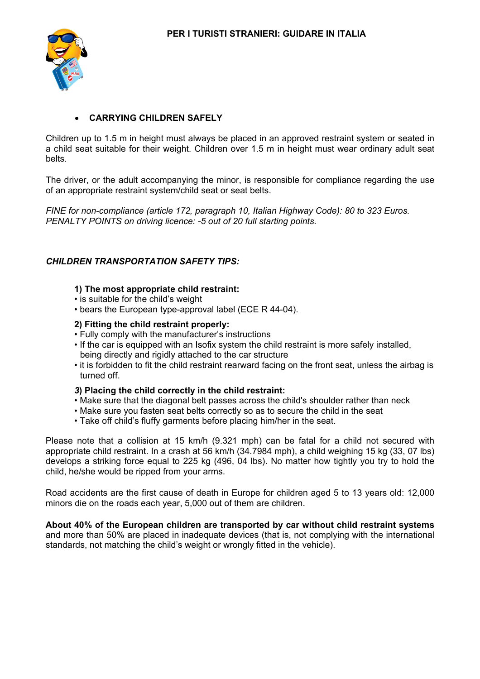

## • **CARRYING CHILDREN SAFELY**

Children up to 1.5 m in height must always be placed in an approved restraint system or seated in a child seat suitable for their weight. Children over 1.5 m in height must wear ordinary adult seat belts.

The driver, or the adult accompanying the minor, is responsible for compliance regarding the use of an appropriate restraint system/child seat or seat belts.

*FINE for non-compliance (article 172, paragraph 10, Italian Highway Code): 80 to 323 Euros. PENALTY POINTS on driving licence: -5 out of 20 full starting points.* 

### *CHILDREN TRANSPORTATION SAFETY TIPS:*

### **1) The most appropriate child restraint:**

- is suitable for the child's weight
- bears the European type-approval label (ECE R 44-04).

#### **2) Fitting the child restraint properly:**

- Fully comply with the manufacturer's instructions
- If the car is equipped with an Isofix system the child restraint is more safely installed, being directly and rigidly attached to the car structure
- it is forbidden to fit the child restraint rearward facing on the front seat, unless the airbag is turned off.

#### *3***) Placing the child correctly in the child restraint:**

- Make sure that the diagonal belt passes across the child's shoulder rather than neck
- Make sure you fasten seat belts correctly so as to secure the child in the seat
- Take off child's fluffy garments before placing him/her in the seat.

Please note that a collision at 15 km/h (9.321 mph) can be fatal for a child not secured with appropriate child restraint. In a crash at 56 km/h (34.7984 mph), a child weighing 15 kg (33, 07 lbs) develops a striking force equal to 225 kg (496, 04 lbs). No matter how tightly you try to hold the child, he/she would be ripped from your arms.

Road accidents are the first cause of death in Europe for children aged 5 to 13 years old: 12,000 minors die on the roads each year, 5,000 out of them are children.

**About 40% of the European children are transported by car without child restraint systems** and more than 50% are placed in inadequate devices (that is, not complying with the international standards, not matching the child's weight or wrongly fitted in the vehicle).